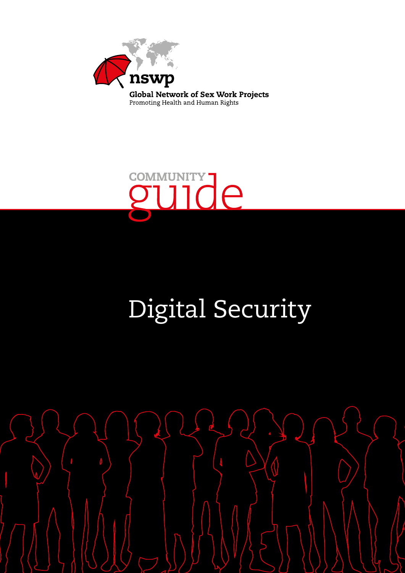



# Digital Security

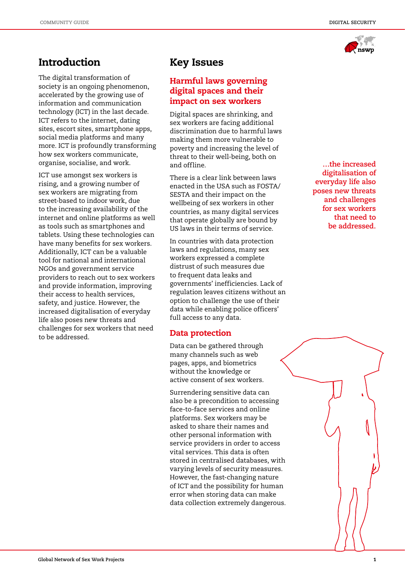**Introduction** 

The digital transformation of society is an ongoing phenomenon, accelerated by the growing use of information and communication technology (ICT) in the last decade. ICT refers to the internet, dating sites, escort sites, smartphone apps, social media platforms and many more. ICT is profoundly transforming how sex workers communicate, organise, socialise, and work.

ICT use amongst sex workers is rising, and a growing number of sex workers are migrating from street-based to indoor work, due to the increasing availability of the internet and online platforms as well as tools such as smartphones and tablets. Using these technologies can have many benefits for sex workers. Additionally, ICT can be a valuable tool for national and international NGOs and government service providers to reach out to sex workers and provide information, improving their access to health services, safety, and justice. However, the increased digitalisation of everyday life also poses new threats and challenges for sex workers that need to be addressed.

# Key Issues

# Harmful laws governing digital spaces and their impact on sex workers

Digital spaces are shrinking, and sex workers are facing additional discrimination due to harmful laws making them more vulnerable to poverty and increasing the level of threat to their well-being, both on and offline.

There is a clear link between laws enacted in the USA such as FOSTA/ SESTA and their impact on the wellbeing of sex workers in other countries, as many digital services that operate globally are bound by US laws in their terms of service.

In countries with data protection laws and regulations, many sex workers expressed a complete distrust of such measures due to frequent data leaks and governments' inefficiencies. Lack of regulation leaves citizens without an option to challenge the use of their data while enabling police officers' full access to any data.

## Data protection

Data can be gathered through many channels such as web pages, apps, and biometrics without the knowledge or active consent of sex workers.

Surrendering sensitive data can also be a precondition to accessing face-to-face services and online platforms. Sex workers may be asked to share their names and other personal information with service providers in order to access vital services. This data is often stored in centralised databases, with varying levels of security measures. However, the fast-changing nature of ICT and the possibility for human error when storing data can make data collection extremely dangerous.

**…the increased digitalisation of everyday life also poses new threats and challenges for sex workers that need to be addressed.**



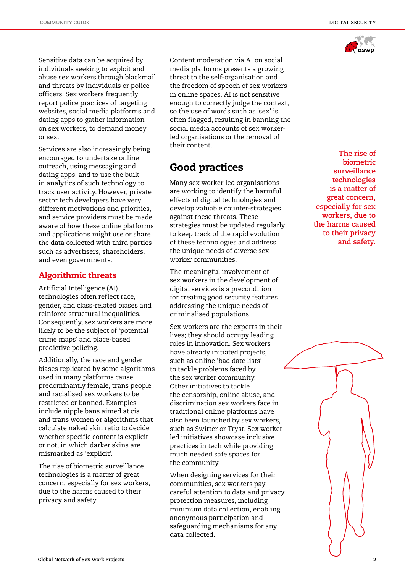

Sensitive data can be acquired by individuals seeking to exploit and abuse sex workers through blackmail and threats by individuals or police officers. Sex workers frequently report police practices of targeting websites, social media platforms and dating apps to gather information on sex workers, to demand money or sex.

Services are also increasingly being encouraged to undertake online outreach, using messaging and dating apps, and to use the builtin analytics of such technology to track user activity. However, private sector tech developers have very different motivations and priorities, and service providers must be made aware of how these online platforms and applications might use or share the data collected with third parties such as advertisers, shareholders, and even governments.

### Algorithmic threats

Artificial Intelligence (AI) technologies often reflect race, gender, and class-related biases and reinforce structural inequalities. Consequently, sex workers are more likely to be the subject of 'potential crime maps' and place-based predictive policing.

Additionally, the race and gender biases replicated by some algorithms used in many platforms cause predominantly female, trans people and racialised sex workers to be restricted or banned. Examples include nipple bans aimed at cis and trans women or algorithms that calculate naked skin ratio to decide whether specific content is explicit or not, in which darker skins are mismarked as 'explicit'.

The rise of biometric surveillance technologies is a matter of great concern, especially for sex workers, due to the harms caused to their privacy and safety.

Content moderation via AI on social media platforms presents a growing threat to the self-organisation and the freedom of speech of sex workers in online spaces. AI is not sensitive enough to correctly judge the context, so the use of words such as 'sex' is often flagged, resulting in banning the social media accounts of sex workerled organisations or the removal of their content.

# Good practices

Many sex worker-led organisations are working to identify the harmful effects of digital technologies and develop valuable counter-strategies against these threats. These strategies must be updated regularly to keep track of the rapid evolution of these technologies and address the unique needs of diverse sex worker communities.

The meaningful involvement of sex workers in the development of digital services is a precondition for creating good security features addressing the unique needs of criminalised populations.

Sex workers are the experts in their lives; they should occupy leading roles in innovation. Sex workers have already initiated projects, such as online 'bad date lists' to tackle problems faced by the sex worker community. Other initiatives to tackle the censorship, online abuse, and discrimination sex workers face in traditional online platforms have also been launched by sex workers, such as Switter or Tryst. Sex workerled initiatives showcase inclusive practices in tech while providing much needed safe spaces for the community.

When designing services for their communities, sex workers pay careful attention to data and privacy protection measures, including minimum data collection, enabling anonymous participation and safeguarding mechanisms for any data collected.

**The rise of biometric surveillance technologies is a matter of great concern, especially for sex workers, due to the harms caused to their privacy and safety.**

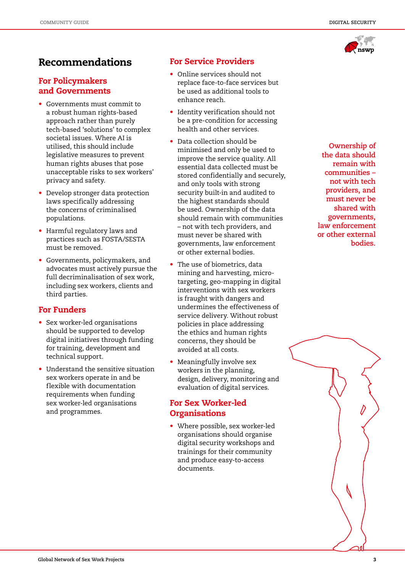

# Recommendations

# For Policymakers and Governments

- Governments must commit to a robust human rights-based approach rather than purely tech-based 'solutions' to complex societal issues. Where AI is utilised, this should include legislative measures to prevent human rights abuses that pose unacceptable risks to sex workers' privacy and safety.
- Develop stronger data protection laws specifically addressing the concerns of criminalised populations.
- Harmful regulatory laws and practices such as FOSTA/SESTA must be removed.
- Governments, policymakers, and advocates must actively pursue the full decriminalisation of sex work, including sex workers, clients and third parties.

## For Funders

- Sex worker-led organisations should be supported to develop digital initiatives through funding for training, development and technical support.
- Understand the sensitive situation sex workers operate in and be flexible with documentation requirements when funding sex worker-led organisations and programmes.

# For Service Providers

- Online services should not replace face-to-face services but be used as additional tools to enhance reach.
- Identity verification should not be a pre-condition for accessing health and other services.
- Data collection should be minimised and only be used to improve the service quality. All essential data collected must be stored confidentially and securely, and only tools with strong security built-in and audited to the highest standards should be used. Ownership of the data should remain with communities – not with tech providers, and must never be shared with governments, law enforcement or other external bodies.
- The use of biometrics, data mining and harvesting, microtargeting, geo-mapping in digital interventions with sex workers is fraught with dangers and undermines the effectiveness of service delivery. Without robust policies in place addressing the ethics and human rights concerns, they should be avoided at all costs.
- Meaningfully involve sex workers in the planning, design, delivery, monitoring and evaluation of digital services.

# For Sex Worker-led **Organisations**

• Where possible, sex worker-led organisations should organise digital security workshops and trainings for their community and produce easy-to-access documents.

**Ownership of the data should remain with communities – not with tech providers, and must never be shared with governments, law enforcement or other external bodies.**